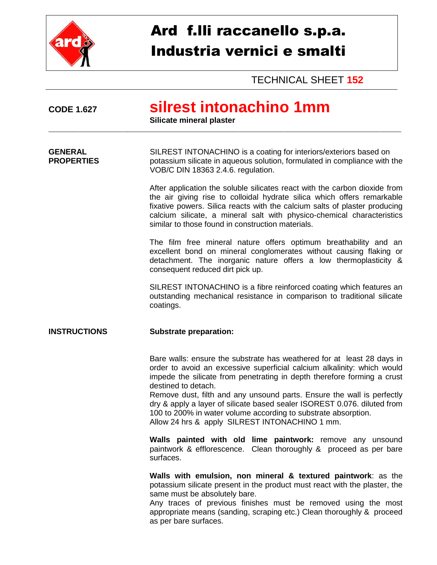

## Ard f.lli raccanello s.p.a. Industria vernici e smalti

TECHNICAL SHEET **152**

| <b>CODE 1.627</b>                   | silrest intonachino 1mm<br>Silicate mineral plaster                                                                                                                                                                                                                                                                                                                                                                                                                                                                           |  |  |  |
|-------------------------------------|-------------------------------------------------------------------------------------------------------------------------------------------------------------------------------------------------------------------------------------------------------------------------------------------------------------------------------------------------------------------------------------------------------------------------------------------------------------------------------------------------------------------------------|--|--|--|
| <b>GENERAL</b><br><b>PROPERTIES</b> | SILREST INTONACHINO is a coating for interiors/exteriors based on<br>potassium silicate in aqueous solution, formulated in compliance with the<br>VOB/C DIN 18363 2.4.6. regulation.                                                                                                                                                                                                                                                                                                                                          |  |  |  |
|                                     | After application the soluble silicates react with the carbon dioxide from<br>the air giving rise to colloidal hydrate silica which offers remarkable<br>fixative powers. Silica reacts with the calcium salts of plaster producing<br>calcium silicate, a mineral salt with physico-chemical characteristics<br>similar to those found in construction materials.                                                                                                                                                            |  |  |  |
|                                     | The film free mineral nature offers optimum breathability and an<br>excellent bond on mineral conglomerates without causing flaking or<br>detachment. The inorganic nature offers a low thermoplasticity &<br>consequent reduced dirt pick up.                                                                                                                                                                                                                                                                                |  |  |  |
|                                     | SILREST INTONACHINO is a fibre reinforced coating which features an<br>outstanding mechanical resistance in comparison to traditional silicate<br>coatings.                                                                                                                                                                                                                                                                                                                                                                   |  |  |  |
| <b>INSTRUCTIONS</b>                 | <b>Substrate preparation:</b>                                                                                                                                                                                                                                                                                                                                                                                                                                                                                                 |  |  |  |
|                                     | Bare walls: ensure the substrate has weathered for at least 28 days in<br>order to avoid an excessive superficial calcium alkalinity: which would<br>impede the silicate from penetrating in depth therefore forming a crust<br>destined to detach.<br>Remove dust, filth and any unsound parts. Ensure the wall is perfectly<br>dry & apply a layer of silicate based sealer ISOREST 0.076. diluted from<br>100 to 200% in water volume according to substrate absorption.<br>Allow 24 hrs & apply SILREST INTONACHINO 1 mm. |  |  |  |
|                                     | Walls painted with old lime paintwork: remove any unsound<br>paintwork & efflorescence. Clean thoroughly & proceed as per bare<br>surfaces.                                                                                                                                                                                                                                                                                                                                                                                   |  |  |  |
|                                     | Walls with emulsion, non mineral & textured paintwork: as the<br>potassium silicate present in the product must react with the plaster, the<br>same must be absolutely bare.<br>Any traces of previous finishes must be removed using the most<br>appropriate means (sanding, scraping etc.) Clean thoroughly & proceed<br>as per bare surfaces.                                                                                                                                                                              |  |  |  |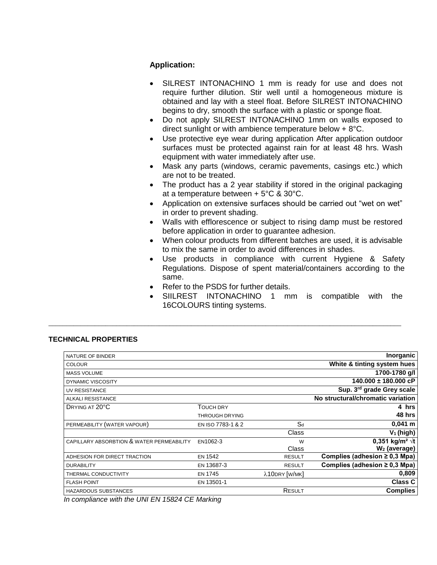## **Application:**

- SILREST INTONACHINO 1 mm is ready for use and does not require further dilution. Stir well until a homogeneous mixture is obtained and lay with a steel float. Before SILREST INTONACHINO begins to dry, smooth the surface with a plastic or sponge float.
- Do not apply SILREST INTONACHINO 1mm on walls exposed to direct sunlight or with ambience temperature below + 8°C.
- Use protective eye wear during application After application outdoor surfaces must be protected against rain for at least 48 hrs. Wash equipment with water immediately after use.
- Mask any parts (windows, ceramic pavements, casings etc.) which are not to be treated.
- The product has a 2 year stability if stored in the original packaging at a temperature between + 5°C & 30°C.
- Application on extensive surfaces should be carried out "wet on wet" in order to prevent shading.
- Walls with efflorescence or subject to rising damp must be restored before application in order to guarantee adhesion.
- When colour products from different batches are used, it is advisable to mix the same in order to avoid differences in shades.
- Use products in compliance with current Hygiene & Safety Regulations. Dispose of spent material/containers according to the same.
- Refer to the PSDS for further details.

\_\_\_\_\_\_\_\_\_\_\_\_\_\_\_\_\_\_\_\_\_\_\_\_\_\_\_\_\_\_\_\_\_\_\_\_\_\_\_\_\_\_\_\_\_\_\_\_\_\_\_\_\_\_\_\_\_\_\_\_\_\_\_\_\_\_\_\_\_\_\_\_\_\_\_\_\_\_\_\_\_\_\_\_\_\_\_\_\_\_\_\_\_\_\_\_\_\_\_

 SIILREST INTONACHINO 1 mm is compatible with the 16COLOURS tinting systems.

## **TECHNICAL PROPERTIES**

| NATURE OF BINDER                          |                       |               | <b>Inorganic</b>                   |
|-------------------------------------------|-----------------------|---------------|------------------------------------|
| <b>COLOUR</b>                             |                       |               | White & tinting system hues        |
| <b>MASS VOLUME</b>                        |                       |               | 1700-1780 g/l                      |
| DYNAMIC VISCOSITY                         |                       |               | $140.000 \pm 180.000$ cP           |
| UV RESISTANCE                             |                       |               | Sup. 3rd grade Grey scale          |
| ALKALI RESISTANCE                         |                       |               | No structural/chromatic variation  |
| DRYING AT 20°C                            | TOUCH DRY             |               | 4 hrs                              |
|                                           | <b>THROUGH DRYING</b> |               | 48 hrs                             |
| PERMEABILITY (WATER VAPOUR)               | EN ISO 7783-1 & 2     | $S_d$         | $0,041 \; m$                       |
|                                           |                       | Class         | $V_1$ (high)                       |
| CAPILLARY ABSORBTION & WATER PERMEABILITY | EN1062-3              | W             | 0,351 kg/m <sup>2</sup> $\sqrt{t}$ |
|                                           |                       | Class         | W <sub>2</sub> (average)           |
| ADHESION FOR DIRECT TRACTION              | <b>EN 1542</b>        | <b>RESULT</b> | Complies (adhesion $\geq$ 0,3 Mpa) |
| <b>DURABILITY</b>                         | EN 13687-3            | <b>RESULT</b> | Complies (adhesion $\geq$ 0,3 Mpa) |
| THERMAL CONDUCTIVITY                      | <b>EN 1745</b>        | λ10DRY [W/MK] | 0,809                              |
| <b>FLASH POINT</b>                        | EN 13501-1            |               | <b>Class C</b>                     |
| HAZARDOUS SUBSTANCES                      |                       | RESULT        | <b>Complies</b>                    |
|                                           |                       |               |                                    |

*In compliance with the UNI EN 15824 CE Marking*